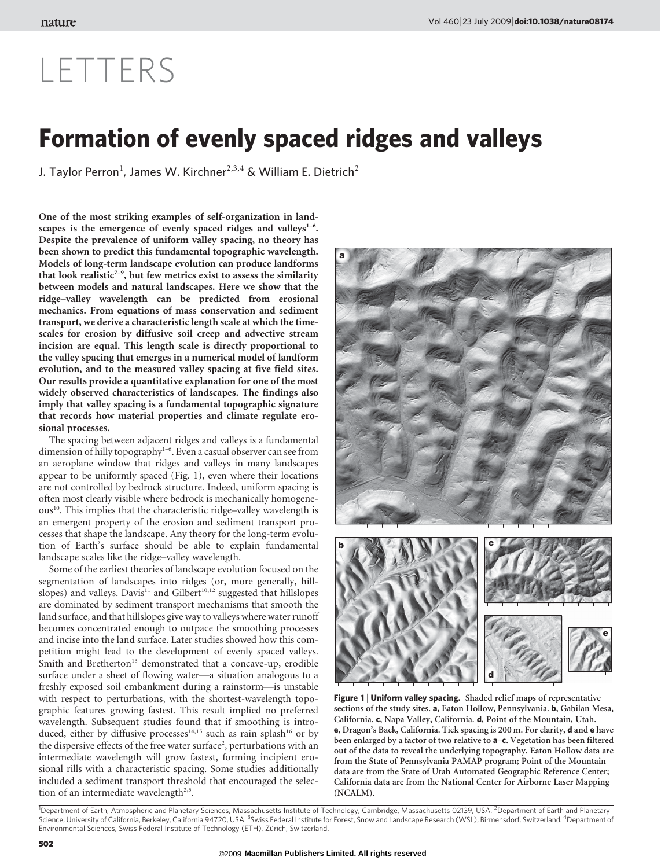# LETTERS

# Formation of evenly spaced ridges and valleys

J. Taylor Perron<sup>1</sup>, James W. Kirchner<sup>2,3,4</sup> & William E. Dietrich<sup>2</sup>

One of the most striking examples of self-organization in landscapes is the emergence of evenly spaced ridges and valleys $1-6$ . Despite the prevalence of uniform valley spacing, no theory has been shown to predict this fundamental topographic wavelength. Models of long-term landscape evolution can produce landforms that look realistic<sup> $7-9$ </sup>, but few metrics exist to assess the similarity between models and natural landscapes. Here we show that the ridge–valley wavelength can be predicted from erosional mechanics. From equations of mass conservation and sediment transport, we derive a characteristic length scale at which the timescales for erosion by diffusive soil creep and advective stream incision are equal. This length scale is directly proportional to the valley spacing that emerges in a numerical model of landform evolution, and to the measured valley spacing at five field sites. Our results provide a quantitative explanation for one of the most widely observed characteristics of landscapes. The findings also imply that valley spacing is a fundamental topographic signature that records how material properties and climate regulate erosional processes.

The spacing between adjacent ridges and valleys is a fundamental dimension of hilly topography<sup>1-6</sup>. Even a casual observer can see from an aeroplane window that ridges and valleys in many landscapes appear to be uniformly spaced (Fig. 1), even where their locations are not controlled by bedrock structure. Indeed, uniform spacing is often most clearly visible where bedrock is mechanically homogeneous<sup>10</sup>. This implies that the characteristic ridge–valley wavelength is an emergent property of the erosion and sediment transport processes that shape the landscape. Any theory for the long-term evolution of Earth's surface should be able to explain fundamental landscape scales like the ridge–valley wavelength.

Some of the earliest theories of landscape evolution focused on the segmentation of landscapes into ridges (or, more generally, hillslopes) and valleys. Davis<sup>11</sup> and Gilbert<sup>10,12</sup> suggested that hillslopes are dominated by sediment transport mechanisms that smooth the land surface, and that hillslopes give way to valleys where water runoff becomes concentrated enough to outpace the smoothing processes and incise into the land surface. Later studies showed how this competition might lead to the development of evenly spaced valleys. Smith and Bretherton<sup>13</sup> demonstrated that a concave-up, erodible surface under a sheet of flowing water—a situation analogous to a freshly exposed soil embankment during a rainstorm—is unstable with respect to perturbations, with the shortest-wavelength topographic features growing fastest. This result implied no preferred wavelength. Subsequent studies found that if smoothing is introduced, either by diffusive processes<sup>14,15</sup> such as rain splash<sup>16</sup> or by the dispersive effects of the free water surface<sup>2</sup>, perturbations with an intermediate wavelength will grow fastest, forming incipient erosional rills with a characteristic spacing. Some studies additionally included a sediment transport threshold that encouraged the selection of an intermediate wavelength<sup>2,5</sup>.



Figure 1 | Uniform valley spacing. Shaded relief maps of representative sections of the study sites. a, Eaton Hollow, Pennsylvania. b, Gabilan Mesa, California. c, Napa Valley, California. d, Point of the Mountain, Utah. e, Dragon's Back, California. Tick spacing is 200 m. For clarity, d and e have been enlarged by a factor of two relative to  $a-c$ . Vegetation has been filtered out of the data to reveal the underlying topography. Eaton Hollow data are from the State of Pennsylvania PAMAP program; Point of the Mountain data are from the State of Utah Automated Geographic Reference Center; California data are from the National Center for Airborne Laser Mapping (NCALM).

<sup>1</sup>Department of Earth, Atmospheric and Planetary Sciences, Massachusetts Institute of Technology, Cambridge, Massachusetts 02139, USA. <sup>2</sup>Department of Earth and Planetary<br>Science, University of California, Berkeley, Cali Environmental Sciences, Swiss Federal Institute of Technology (ETH), Zürich, Switzerland.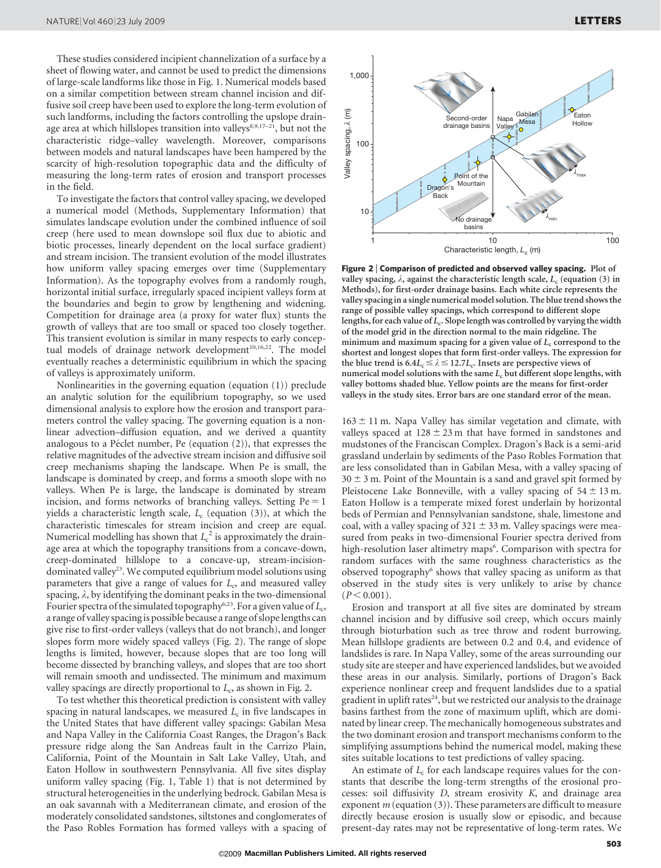These studies considered incipient channelization of a surface by a sheet of flowing water, and cannot be used to predict the dimensions of large-scale landforms like those in Fig. 1. Numerical models based on a similar competition between stream channel incision and diffusive soil creep have been used to explore the long-term evolution of such landforms, including the factors controlling the upslope drainage area at which hillslopes transition into valleys $8,9,17-21$ , but not the characteristic ridge–valley wavelength. Moreover, comparisons between models and natural landscapes have been hampered by the scarcity of high-resolution topographic data and the difficulty of measuring the long-term rates of erosion and transport processes in the field.

To investigate the factors that control valley spacing, we developed a numerical model (Methods, Supplementary Information) that simulates landscape evolution under the combined influence of soil creep (here used to mean downslope soil flux due to abiotic and biotic processes, linearly dependent on the local surface gradient) and stream incision. The transient evolution of the model illustrates how uniform valley spacing emerges over time (Supplementary Information). As the topography evolves from a randomly rough, horizontal initial surface, irregularly spaced incipient valleys form at the boundaries and begin to grow by lengthening and widening. Competition for drainage area (a proxy for water flux) stunts the growth of valleys that are too small or spaced too closely together. This transient evolution is similar in many respects to early conceptual models of drainage network development<sup>10,16,22</sup>. The model eventually reaches a deterministic equilibrium in which the spacing of valleys is approximately uniform.

Nonlinearities in the governing equation (equation (1)) preclude an analytic solution for the equilibrium topography, so we used dimensional analysis to explore how the erosion and transport parameters control the valley spacing. The governing equation is a nonlinear advection–diffusion equation, and we derived a quantity analogous to a Péclet number, Pe (equation  $(2)$ ), that expresses the relative magnitudes of the advective stream incision and diffusive soil creep mechanisms shaping the landscape. When Pe is small, the landscape is dominated by creep, and forms a smooth slope with no valleys. When Pe is large, the landscape is dominated by stream incision, and forms networks of branching valleys. Setting  $Pe = 1$ yields a characteristic length scale,  $L_c$  (equation (3)), at which the characteristic timescales for stream incision and creep are equal. Numerical modelling has shown that  $L_{\rm c}^{\rm 2}$  is approximately the drainage area at which the topography transitions from a concave-down, creep-dominated hillslope to a concave-up, stream-incisiondominated valley<sup>23</sup>. We computed equilibrium model solutions using parameters that give a range of values for  $L_c$ , and measured valley spacing,  $\lambda$ , by identifying the dominant peaks in the two-dimensional Fourier spectra of the simulated topography<sup>6,23</sup>. For a given value of  $L_c$ , a range of valley spacing is possible because a range of slope lengths can give rise to first-order valleys (valleys that do not branch), and longer slopes form more widely spaced valleys (Fig. 2). The range of slope lengths is limited, however, because slopes that are too long will become dissected by branching valleys, and slopes that are too short will remain smooth and undissected. The minimum and maximum valley spacings are directly proportional to  $L_c$ , as shown in Fig. 2.

To test whether this theoretical prediction is consistent with valley spacing in natural landscapes, we measured  $L_c$  in five landscapes in the United States that have different valley spacings: Gabilan Mesa and Napa Valley in the California Coast Ranges, the Dragon's Back pressure ridge along the San Andreas fault in the Carrizo Plain, California, Point of the Mountain in Salt Lake Valley, Utah, and Eaton Hollow in southwestern Pennsylvania. All five sites display uniform valley spacing (Fig. 1, Table 1) that is not determined by structural heterogeneities in the underlying bedrock. Gabilan Mesa is an oak savannah with a Mediterranean climate, and erosion of the moderately consolidated sandstones, siltstones and conglomerates of the Paso Robles Formation has formed valleys with a spacing of



Figure 2 <sup>|</sup> Comparison of predicted and observed valley spacing. Plot of valley spacing,  $\lambda$ , against the characteristic length scale,  $L_c$  (equation (3) in Methods), for first-order drainage basins. Each white circle represents the valley spacing in a single numerical model solution. The blue trend shows the range of possible valley spacings, which correspond to different slope lengths, for each value of  $L_c$ . Slope length was controlled by varying the width of the model grid in the direction normal to the main ridgeline. The minimum and maximum spacing for a given value of  $L<sub>c</sub>$  correspond to the shortest and longest slopes that form first-order valleys. The expression for the blue trend is  $6.4L_c \leq \lambda \leq 12.7L_c$ . Insets are perspective views of numerical model solutions with the same  $L_c$  but different slope lengths, with valley bottoms shaded blue. Yellow points are the means for first-order valleys in the study sites. Error bars are one standard error of the mean.

 $163 \pm 11$  m. Napa Valley has similar vegetation and climate, with valleys spaced at  $128 \pm 23$  m that have formed in sandstones and mudstones of the Franciscan Complex. Dragon's Back is a semi-arid grassland underlain by sediments of the Paso Robles Formation that are less consolidated than in Gabilan Mesa, with a valley spacing of  $30 \pm 3$  m. Point of the Mountain is a sand and gravel spit formed by Pleistocene Lake Bonneville, with a valley spacing of  $54 \pm 13$  m. Eaton Hollow is a temperate mixed forest underlain by horizontal beds of Permian and Pennsylvanian sandstone, shale, limestone and coal, with a valley spacing of  $321 \pm 33$  m. Valley spacings were measured from peaks in two-dimensional Fourier spectra derived from high-resolution laser altimetry maps<sup>6</sup>. Comparison with spectra for random surfaces with the same roughness characteristics as the observed topography<sup>6</sup> shows that valley spacing as uniform as that observed in the study sites is very unlikely to arise by chance  $(P < 0.001)$ .

Erosion and transport at all five sites are dominated by stream channel incision and by diffusive soil creep, which occurs mainly through bioturbation such as tree throw and rodent burrowing. Mean hillslope gradients are between 0.2 and 0.4, and evidence of landslides is rare. In Napa Valley, some of the areas surrounding our study site are steeper and have experienced landslides, but we avoided these areas in our analysis. Similarly, portions of Dragon's Back experience nonlinear creep and frequent landslides due to a spatial gradient in uplift rates<sup>24</sup>, but we restricted our analysis to the drainage basins farthest from the zone of maximum uplift, which are dominated by linear creep. The mechanically homogeneous substrates and the two dominant erosion and transport mechanisms conform to the simplifying assumptions behind the numerical model, making these sites suitable locations to test predictions of valley spacing.

An estimate of  $L_c$  for each landscape requires values for the constants that describe the long-term strengths of the erosional processes: soil diffusivity D, stream erosivity K, and drainage area exponent  $m$  (equation (3)). These parameters are difficult to measure directly because erosion is usually slow or episodic, and because present-day rates may not be representative of long-term rates. We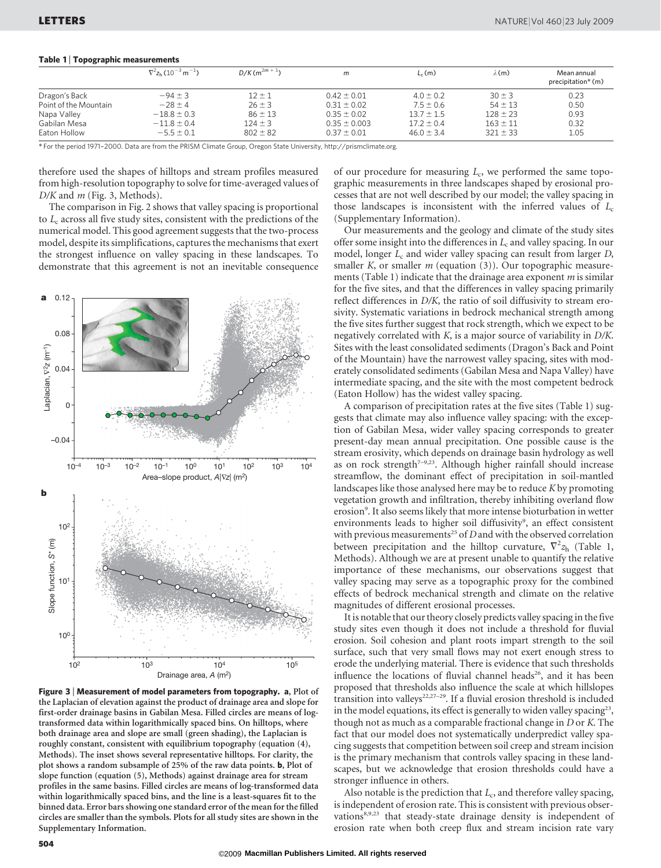## Table 1 <sup>|</sup> Topographic measurements

|                       | $\nabla^2 z_h (10^{-3} \,\mathrm{m}^{-1})$ | $D/K(m^{2m+1})$ | m                | $L_c(m)$       | $\lambda(m)$ | Mean annual<br>precipitation* (m) |
|-----------------------|--------------------------------------------|-----------------|------------------|----------------|--------------|-----------------------------------|
| Dragon's Back         | $-94 \pm 3$                                | $12 \pm 1$      | $0.42 \pm 0.01$  | $4.0 \pm 0.2$  | $30 \pm 3$   | 0.23                              |
| Point of the Mountain | $-28 \pm 4$                                | $26 \pm 3$      | $0.31 \pm 0.02$  | $7.5 \pm 0.6$  | $54 \pm 13$  | 0.50                              |
| Napa Valley           | $-18.8 \pm 0.3$                            | $86 \pm 13$     | $0.35 \pm 0.02$  | $13.7 \pm 1.5$ | $128 \pm 23$ | 0.93                              |
| Gabilan Mesa          | $-11.8 \pm 0.4$                            | $124 \pm 3$     | $0.35 \pm 0.003$ | $17.2 \pm 0.4$ | $163 \pm 11$ | 0.32                              |
| Eaton Hollow          | $-5.5 \pm 0.1$                             | $802 \pm 82$    | $0.37 \pm 0.01$  | $46.0 \pm 3.4$ | $321 \pm 33$ | 1.05                              |

\* For the period 1971–2000. Data are from the PRISM Climate Group, Oregon State University, [http://prismclimate.org.](http://prismclimate.org)

therefore used the shapes of hilltops and stream profiles measured from high-resolution topography to solve for time-averaged values of  $D/K$  and  $m$  (Fig. 3, Methods).

The comparison in Fig. 2 shows that valley spacing is proportional to  $L_c$  across all five study sites, consistent with the predictions of the numerical model. This good agreement suggests that the two-process model, despite its simplifications, captures the mechanisms that exert the strongest influence on valley spacing in these landscapes. To demonstrate that this agreement is not an inevitable consequence



Figure 3 <sup>|</sup> Measurement of model parameters from topography. a, Plot of the Laplacian of elevation against the product of drainage area and slope for first-order drainage basins in Gabilan Mesa. Filled circles are means of logtransformed data within logarithmically spaced bins. On hilltops, where both drainage area and slope are small (green shading), the Laplacian is roughly constant, consistent with equilibrium topography (equation (4), Methods). The inset shows several representative hilltops. For clarity, the plot shows a random subsample of 25% of the raw data points. b, Plot of slope function (equation (5), Methods) against drainage area for stream profiles in the same basins. Filled circles are means of log-transformed data within logarithmically spaced bins, and the line is a least-squares fit to the binned data. Error bars showing one standard error of the mean for the filled circles are smaller than the symbols. Plots for all study sites are shown in the Supplementary Information.

of our procedure for measuring  $L_c$ , we performed the same topographic measurements in three landscapes shaped by erosional processes that are not well described by our model; the valley spacing in those landscapes is inconsistent with the inferred values of  $L_c$ (Supplementary Information).

Our measurements and the geology and climate of the study sites offer some insight into the differences in  $L_c$  and valley spacing. In our model, longer  $L_c$  and wider valley spacing can result from larger  $D$ , smaller K, or smaller  $m$  (equation (3)). Our topographic measurements (Table 1) indicate that the drainage area exponent  $m$  is similar for the five sites, and that the differences in valley spacing primarily reflect differences in D/K, the ratio of soil diffusivity to stream erosivity. Systematic variations in bedrock mechanical strength among the five sites further suggest that rock strength, which we expect to be negatively correlated with K, is a major source of variability in D/K. Sites with the least consolidated sediments (Dragon's Back and Point of the Mountain) have the narrowest valley spacing, sites with moderately consolidated sediments (Gabilan Mesa and Napa Valley) have intermediate spacing, and the site with the most competent bedrock (Eaton Hollow) has the widest valley spacing.

A comparison of precipitation rates at the five sites (Table 1) suggests that climate may also influence valley spacing: with the exception of Gabilan Mesa, wider valley spacing corresponds to greater present-day mean annual precipitation. One possible cause is the stream erosivity, which depends on drainage basin hydrology as well as on rock strength<sup>7-9,23</sup>. Although higher rainfall should increase streamflow, the dominant effect of precipitation in soil-mantled landscapes like those analysed here may be to reduce K by promoting vegetation growth and infiltration, thereby inhibiting overland flow erosion<sup>9</sup>. It also seems likely that more intense bioturbation in wetter environments leads to higher soil diffusivity<sup>9</sup>, an effect consistent with previous measurements<sup>25</sup> of  $D$  and with the observed correlation between precipitation and the hilltop curvature,  $\nabla^2 z_h$  (Table 1, Methods). Although we are at present unable to quantify the relative importance of these mechanisms, our observations suggest that valley spacing may serve as a topographic proxy for the combined effects of bedrock mechanical strength and climate on the relative magnitudes of different erosional processes.

It is notable that our theory closely predicts valley spacing in the five study sites even though it does not include a threshold for fluvial erosion. Soil cohesion and plant roots impart strength to the soil surface, such that very small flows may not exert enough stress to erode the underlying material. There is evidence that such thresholds influence the locations of fluvial channel heads<sup>26</sup>, and it has been proposed that thresholds also influence the scale at which hillslopes transition into valleys<sup>22,27-29</sup>. If a fluvial erosion threshold is included in the model equations, its effect is generally to widen valley spacing<sup>23</sup>, though not as much as a comparable fractional change in D or K. The fact that our model does not systematically underpredict valley spacing suggests that competition between soil creep and stream incision is the primary mechanism that controls valley spacing in these landscapes, but we acknowledge that erosion thresholds could have a stronger influence in others.

Also notable is the prediction that  $L_c$ , and therefore valley spacing, is independent of erosion rate. This is consistent with previous observations<sup>8,9,23</sup> that steady-state drainage density is independent of erosion rate when both creep flux and stream incision rate vary